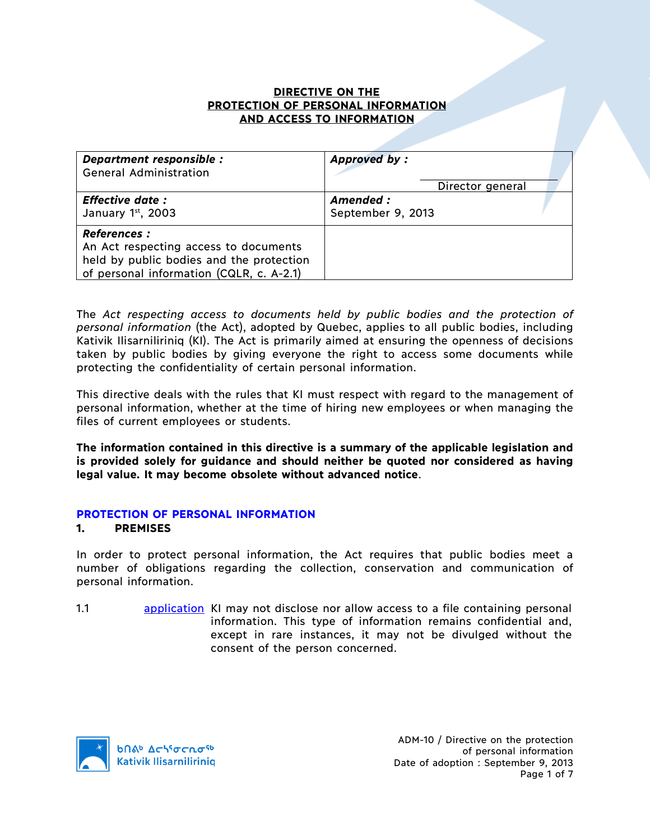#### **DIRECTIVE ON THE PROTECTION OF PERSONAL INFORMATION AND ACCESS TO INFORMATION**

| Department responsible :                                                                                                                             | <b>Approved by:</b> |
|------------------------------------------------------------------------------------------------------------------------------------------------------|---------------------|
| <b>General Administration</b>                                                                                                                        | Director general    |
| <b>Effective date:</b>                                                                                                                               | Amended:            |
| January 1st, 2003                                                                                                                                    | September 9, 2013   |
| <b>References :</b><br>An Act respecting access to documents<br>held by public bodies and the protection<br>of personal information (CQLR, c. A-2.1) |                     |

The *Act respecting access to documents held by public bodies and the protection of personal information* (the Act), adopted by Quebec, applies to all public bodies, including Kativik Ilisarniliriniq (KI). The Act is primarily aimed at ensuring the openness of decisions taken by public bodies by giving everyone the right to access some documents while protecting the confidentiality of certain personal information.

This directive deals with the rules that KI must respect with regard to the management of personal information, whether at the time of hiring new employees or when managing the files of current employees or students.

**The information contained in this directive is a summary of the applicable legislation and is provided solely for guidance and should neither be quoted nor considered as having legal value. It may become obsolete without advanced notice**.

#### **PROTECTION OF PERSONAL INFORMATION**

#### **1. PREMISES**

In order to protect personal information, the Act requires that public bodies meet a number of obligations regarding the collection, conservation and communication of personal information.

1.1 **application** KI may not disclose nor allow access to a file containing personal information. This type of information remains confidential and, except in rare instances, it may not be divulged without the consent of the person concerned.

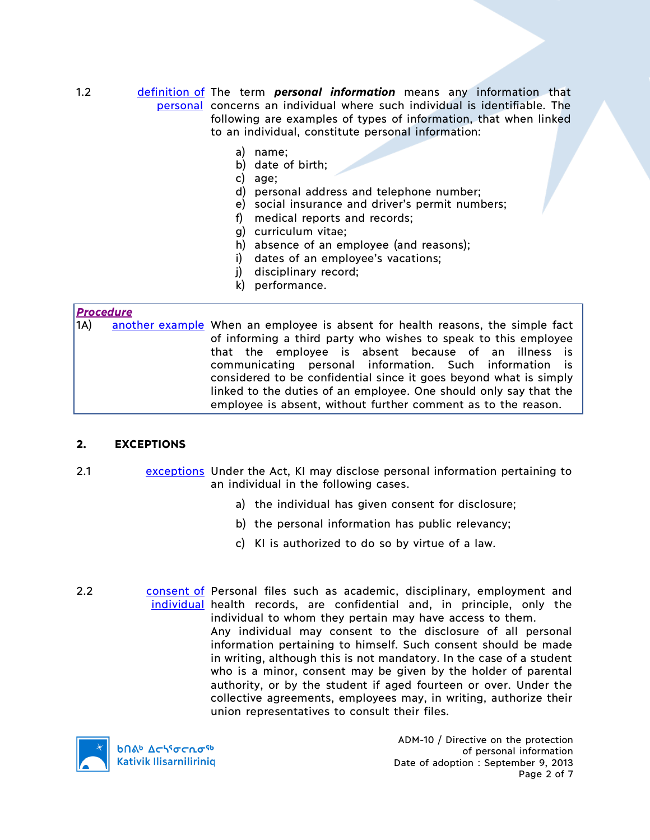#### 1.2 definition of The term *personal information* means any information that personal concerns an individual where such individual is identifiable. The following are examples of types of information, that when linked to an individual, constitute personal information:

- a) name;
- b) date of birth;
- c) age;
- d) personal address and telephone number;
- e) social insurance and driver's permit numbers;
- f) medical reports and records;
- g) curriculum vitae;
- h) absence of an employee (and reasons);
- i) dates of an employee's vacations;
- j) disciplinary record;
- k) performance.

# *Procedure*

1A) another example When an employee is absent for health reasons, the simple fact of informing a third party who wishes to speak to this employee that the employee is absent because of an illness is communicating personal information. Such information is considered to be confidential since it goes beyond what is simply linked to the duties of an employee. One should only say that the employee is absent, without further comment as to the reason.

#### **2. EXCEPTIONS**

- 2.1 exceptions Under the Act, KI may disclose personal information pertaining to an individual in the following cases.
	- a) the individual has given consent for disclosure;
	- b) the personal information has public relevancy;
	- c) KI is authorized to do so by virtue of a law.
- 2.2 consent of Personal files such as academic, disciplinary, employment and individual health records, are confidential and, in principle, only the individual to whom they pertain may have access to them. Any individual may consent to the disclosure of all personal information pertaining to himself. Such consent should be made in writing, although this is not mandatory. In the case of a student who is a minor, consent may be given by the holder of parental authority, or by the student if aged fourteen or over. Under the collective agreements, employees may, in writing, authorize their union representatives to consult their files.



ADM-10 / Directive on the protection of personal information Date of adoption : September 9, 2013 Page 2 of 7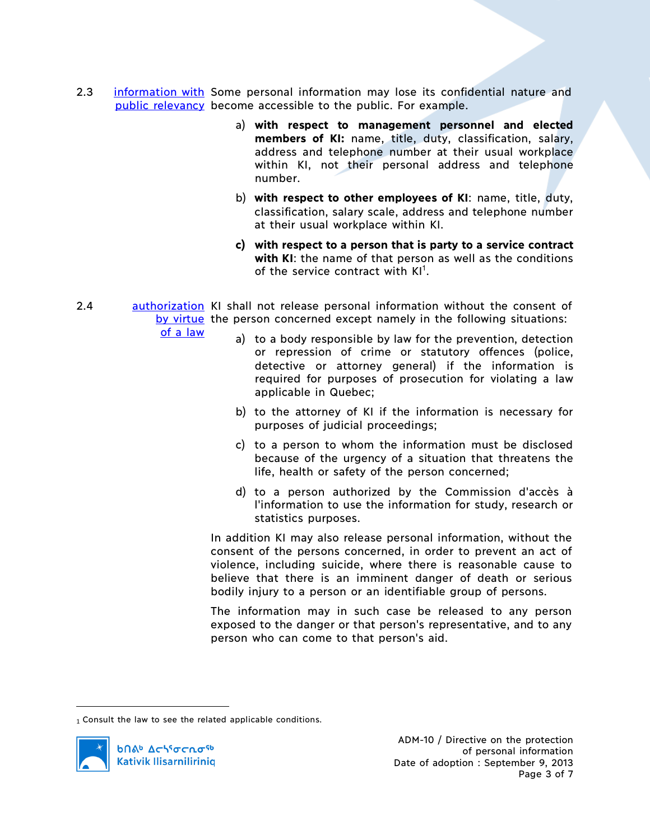- 2.3 information with Some personal information may lose its confidential nature and public relevancy become accessible to the public. For example.
	- a) **with respect to management personnel and elected members of KI:** name, title, duty, classification, salary, address and telephone number at their usual workplace within KI, not their personal address and telephone number.
	- b) **with respect to other employees of KI**: name, title, duty, classification, salary scale, address and telephone number at their usual workplace within KI.
	- **c) with respect to a person that is party to a service contract with KI**: the name of that person as well as the conditions of the service contract with KI<sup>1</sup>.
- 2.4 authorization KI shall not release personal information without the consent of by virtue the person concerned except namely in the following situations:

of a law

- a) to a body responsible by law for the prevention, detection or repression of crime or statutory offences (police, detective or attorney general) if the information is required for purposes of prosecution for violating a law applicable in Quebec;
- b) to the attorney of KI if the information is necessary for purposes of judicial proceedings;
- c) to a person to whom the information must be disclosed because of the urgency of a situation that threatens the life, health or safety of the person concerned;
- d) to a person authorized by the Commission d'accès à l'information to use the information for study, research or statistics purposes.

In addition KI may also release personal information, without the consent of the persons concerned, in order to prevent an act of violence, including suicide, where there is reasonable cause to believe that there is an imminent danger of death or serious bodily injury to a person or an identifiable group of persons.

The information may in such case be released to any person exposed to the danger or that person's representative, and to any person who can come to that person's aid.

<sup>1</sup> Consult the law to see the related applicable conditions.



 $\overline{a}$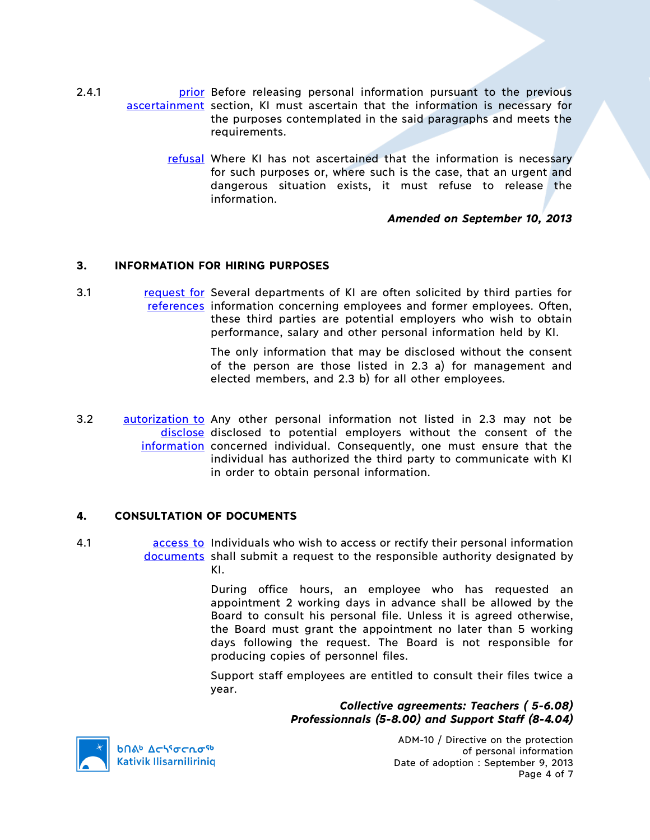- 2.4.1 **prior** Before releasing personal information pursuant to the previous ascertainment section, KI must ascertain that the information is necessary for the purposes contemplated in the said paragraphs and meets the requirements.
	- refusal Where KI has not ascertained that the information is necessary for such purposes or, where such is the case, that an urgent and dangerous situation exists, it must refuse to release the information.

# *Amended on September 10, 2013*

# **3. INFORMATION FOR HIRING PURPOSES**

3.1 request for Several departments of KI are often solicited by third parties for references information concerning employees and former employees. Often, these third parties are potential employers who wish to obtain performance, salary and other personal information held by KI.

> The only information that may be disclosed without the consent of the person are those listed in 2.3 a) for management and elected members, and 2.3 b) for all other employees.

3.2 autorization to Any other personal information not listed in 2.3 may not be disclose disclosed to potential employers without the consent of the information concerned individual. Consequently, one must ensure that the individual has authorized the third party to communicate with KI in order to obtain personal information.

#### **4. CONSULTATION OF DOCUMENTS**

4.1 **access to Individuals who wish to access or rectify their personal information** documents shall submit a request to the responsible authority designated by KI.

> During office hours, an employee who has requested an appointment 2 working days in advance shall be allowed by the Board to consult his personal file. Unless it is agreed otherwise, the Board must grant the appointment no later than 5 working days following the request. The Board is not responsible for producing copies of personnel files.

> Support staff employees are entitled to consult their files twice a year.

> > *Collective agreements: Teachers ( 5-6.08) Professionnals (5-8.00) and Support Staff (8-4.04)*



**b**Πል<sup>b</sup> Δςιγσς πο<sup>ς 6</sup> **Kativik Ilisarniliriniq** 

ADM-10 / Directive on the protection of personal information Date of adoption : September 9, 2013 Page 4 of 7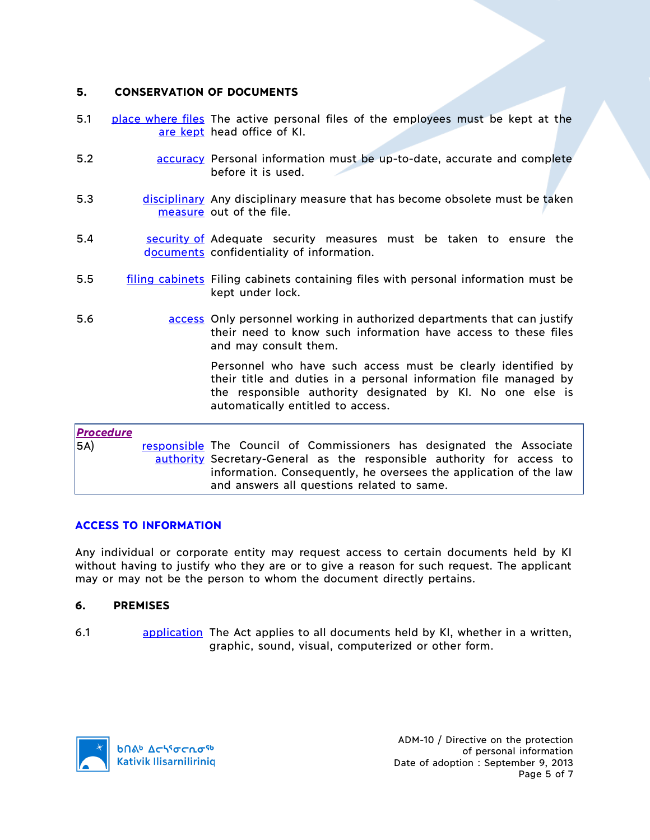# **5. CONSERVATION OF DOCUMENTS**

- 5.1 **place where files** The active personal files of the employees must be kept at the are kept head office of KI.
- 5.2 accuracy Personal information must be up-to-date, accurate and complete before it is used.
- 5.3 disciplinary Any disciplinary measure that has become obsolete must be taken measure out of the file.
- 5.4 Security of Adequate security measures must be taken to ensure the documents confidentiality of information.
- 5.5 filing cabinets Filing cabinets containing files with personal information must be kept under lock.
- 5.6 access Only personnel working in authorized departments that can justify their need to know such information have access to these files and may consult them.

Personnel who have such access must be clearly identified by their title and duties in a personal information file managed by the responsible authority designated by KI. No one else is automatically entitled to access.

# *Procedure*

5A) responsible The Council of Commissioners has designated the Associate authority Secretary-General as the responsible authority for access to information. Consequently, he oversees the application of the law and answers all questions related to same.

# **ACCESS TO INFORMATION**

Any individual or corporate entity may request access to certain documents held by KI without having to justify who they are or to give a reason for such request. The applicant may or may not be the person to whom the document directly pertains.

#### **6. PREMISES**

6.1 application The Act applies to all documents held by KI, whether in a written, graphic, sound, visual, computerized or other form.

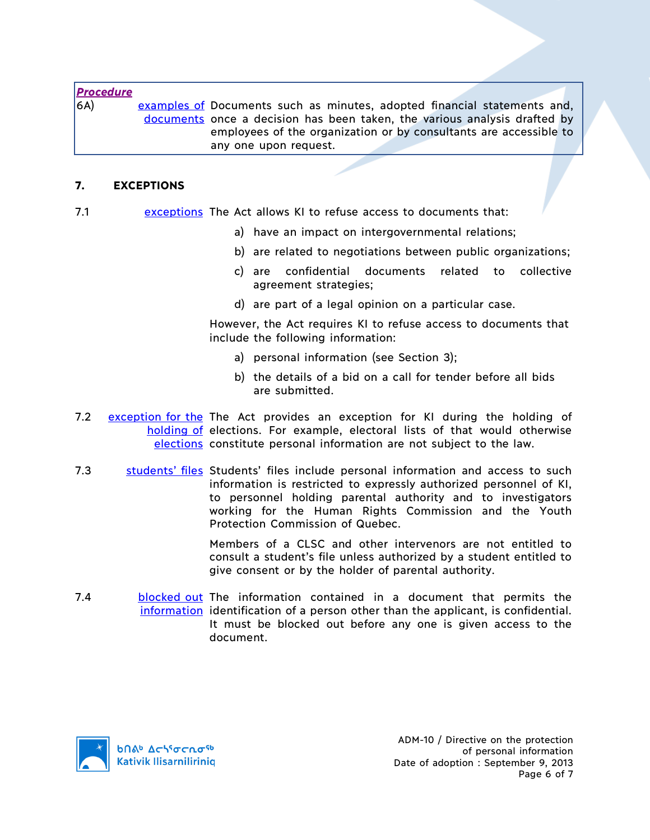| <b>Procedure</b> |                                                                           |  |
|------------------|---------------------------------------------------------------------------|--|
| 6A)              | examples of Documents such as minutes, adopted financial statements and,  |  |
|                  | documents once a decision has been taken, the various analysis drafted by |  |
|                  | employees of the organization or by consultants are accessible to         |  |
|                  | any one upon request.                                                     |  |
|                  |                                                                           |  |

#### **7. EXCEPTIONS**

- 7.1 exceptions The Act allows KI to refuse access to documents that:
	- a) have an impact on intergovernmental relations;
	- b) are related to negotiations between public organizations;
	- c) are confidential documents related to collective agreement strategies;
	- d) are part of a legal opinion on a particular case.

However, the Act requires KI to refuse access to documents that include the following information:

- a) personal information (see Section 3);
- b) the details of a bid on a call for tender before all bids are submitted.
- 7.2 exception for the The Act provides an exception for KI during the holding of holding of elections. For example, electoral lists of that would otherwise elections constitute personal information are not subject to the law.
- 7.3 students' files Students' files include personal information and access to such information is restricted to expressly authorized personnel of KI, to personnel holding parental authority and to investigators working for the Human Rights Commission and the Youth Protection Commission of Quebec.

Members of a CLSC and other intervenors are not entitled to consult a student's file unless authorized by a student entitled to give consent or by the holder of parental authority.

7.4 blocked out The information contained in a document that permits the information identification of a person other than the applicant, is confidential. It must be blocked out before any one is given access to the document.